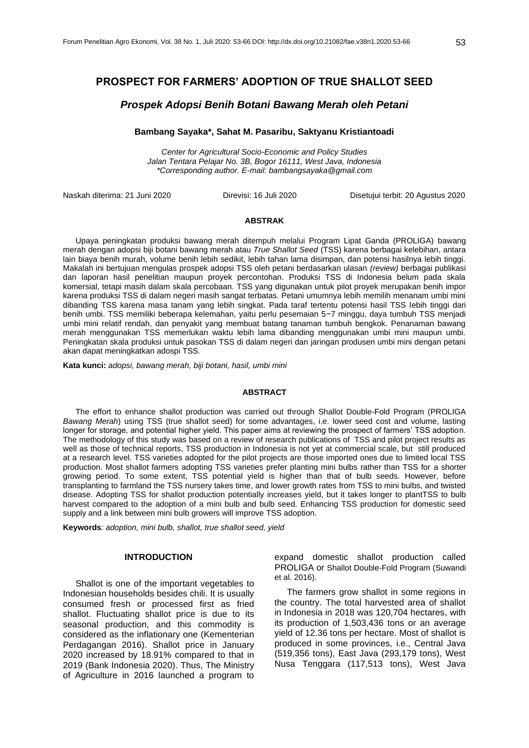# **PROSPECT FOR FARMERS' ADOPTION OF TRUE SHALLOT SEED**

# *Prospek Adopsi Benih Botani Bawang Merah oleh Petani*

### **Bambang Sayaka\*, Sahat M. Pasaribu, Saktyanu Kristiantoadi**

*Center for Agricultural Socio-Economic and Policy Studies Jalan Tentara Pelajar No. 3B, Bogor 16111, West Java, Indonesia \*Corresponding author. E-mail: bambangsayaka@gmail.com*

Naskah diterima: 21 Juni 2020 Direvisi: 16 Juli 2020 Disetujui terbit: 20 Agustus 2020

### **ABSTRAK**

Upaya peningkatan produksi bawang merah ditempuh melalui Program Lipat Ganda (PROLIGA) bawang merah dengan adopsi biji botani bawang merah atau *True Shallot Seed* (TSS) karena berbagai kelebihan, antara lain biaya benih murah, volume benih lebih sedikit, lebih tahan lama disimpan, dan potensi hasilnya lebih tinggi. Makalah ini bertujuan mengulas prospek adopsi TSS oleh petani berdasarkan ulasan *(review)* berbagai publikasi dan laporan hasil penelitian maupun proyek percontohan. Produksi TSS di Indonesia belum pada skala komersial, tetapi masih dalam skala percobaan. TSS yang digunakan untuk pilot proyek merupakan benih impor karena produksi TSS di dalam negeri masih sangat terbatas. Petani umumnya lebih memilih menanam umbi mini dibanding TSS karena masa tanam yang lebih singkat. Pada taraf tertentu potensi hasil TSS lebih tinggi dari benih umbi. TSS memiliki beberapa kelemahan, yaitu perlu pesemaian 5−7 minggu, daya tumbuh TSS menjadi umbi mini relatif rendah, dan penyakit yang membuat batang tanaman tumbuh bengkok. Penanaman bawang merah menggunakan TSS memerlukan waktu lebih lama dibanding menggunakan umbi mini maupun umbi. Peningkatan skala produksi untuk pasokan TSS di dalam negeri dan jaringan produsen umbi mini dengan petani akan dapat meningkatkan adospi TSS.

**Kata kunci:** *adopsi, bawang merah, biji botani, hasil, umbi mini* 

#### **ABSTRACT**

The effort to enhance shallot production was carried out through Shallot Double-Fold Program (PROLIGA *Bawang Merah*) using TSS (true shallot seed) for some advantages, i.e. lower seed cost and volume, lasting longer for storage, and potential higher yield. This paper aims at reviewing the prospect of farmers' TSS adoption. The methodology of this study was based on a review of research publications of TSS and pilot project results as well as those of technical reports, TSS production in Indonesia is not yet at commercial scale, but still produced at a research level. TSS varieties adopted for the pilot projects are those imported ones due to limited local TSS production. Most shallot farmers adopting TSS varieties prefer planting mini bulbs rather than TSS for a shorter growing period. To some extent, TSS potential yield is higher than that of bulb seeds. However, before transplanting to farmland the TSS nursery takes time, and lower growth rates from TSS to mini bulbs, and twisted disease. Adopting TSS for shallot production potentially increases yield, but it takes longer to plantTSS to bulb harvest compared to the adoption of a mini bulb and bulb seed. Enhancing TSS production for domestic seed supply and a link between mini bulb growers will improve TSS adoption.

**Keywords***: adoption, mini bulb, shallot, true shallot seed, yield*

### **INTRODUCTION**

Shallot is one of the important vegetables to Indonesian households besides chili. It is usually consumed fresh or processed first as fried shallot. Fluctuating shallot price is due to its seasonal production, and this commodity is considered as the inflationary one (Kementerian Perdagangan 2016). Shallot price in January 2020 increased by 18.91% compared to that in 2019 (Bank Indonesia 2020). Thus, The Ministry of Agriculture in 2016 launched a program to

expand domestic shallot production called PROLIGA or Shallot Double-Fold Program (Suwandi et al. 2016).

The farmers grow shallot in some regions in the country. The total harvested area of shallot in Indonesia in 2018 was 120,704 hectares, with its production of 1,503,436 tons or an average yield of 12.36 tons per hectare. Most of shallot is produced in some provinces, i.e., Central Java (519,356 tons), East Java (293,179 tons), West Nusa Tenggara (117,513 tons), West Java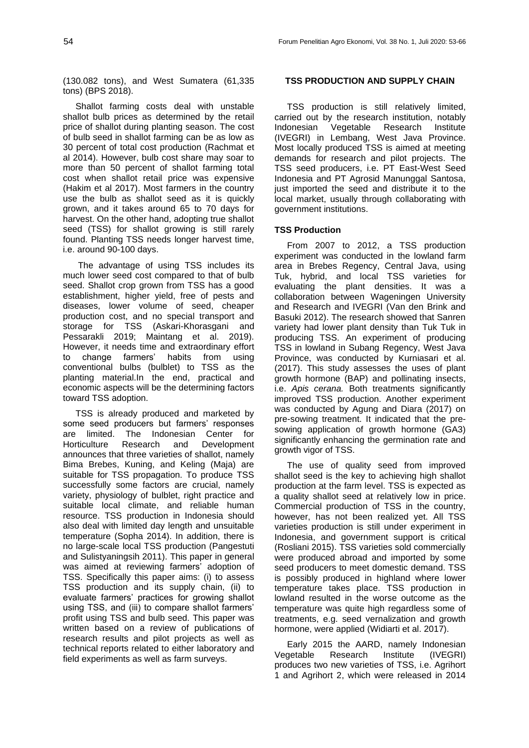(130.082 tons), and West Sumatera (61,335 tons) (BPS 2018).

Shallot farming costs deal with unstable shallot bulb prices as determined by the retail price of shallot during planting season. The cost of bulb seed in shallot farming can be as low as 30 percent of total cost production (Rachmat et al 2014). However, bulb cost share may soar to more than 50 percent of shallot farming total cost when shallot retail price was expensive (Hakim et al 2017). Most farmers in the country use the bulb as shallot seed as it is quickly grown, and it takes around 65 to 70 days for harvest. On the other hand, adopting true shallot seed (TSS) for shallot growing is still rarely found. Planting TSS needs longer harvest time, i.e. around 90-100 days.

The advantage of using TSS includes its much lower seed cost compared to that of bulb seed. Shallot crop grown from TSS has a good establishment, higher yield, free of pests and diseases, lower volume of seed, cheaper production cost, and no special transport and storage for TSS (Askari-Khorasgani and Pessarakli 2019; Maintang et al. 2019). However, it needs time and extraordinary effort to change farmers' habits from using conventional bulbs (bulblet) to TSS as the planting material.In the end, practical and economic aspects will be the determining factors toward TSS adoption.

TSS is already produced and marketed by some seed producers but farmers' responses are limited. The Indonesian Center for Horticulture Research and Development announces that three varieties of shallot, namely Bima Brebes, Kuning, and Keling (Maja) are suitable for TSS propagation. To produce TSS successfully some factors are crucial, namely variety, physiology of bulblet, right practice and suitable local climate, and reliable human resource. TSS production in Indonesia should also deal with limited day length and unsuitable temperature (Sopha 2014). In addition, there is no large-scale local TSS production (Pangestuti and Sulistyaningsih 2011). This paper in general was aimed at reviewing farmers' adoption of TSS. Specifically this paper aims: (i) to assess TSS production and its supply chain, (ii) to evaluate farmers' practices for growing shallot using TSS, and (iii) to compare shallot farmers' profit using TSS and bulb seed. This paper was written based on a review of publications of research results and pilot projects as well as technical reports related to either laboratory and field experiments as well as farm surveys.

### **TSS PRODUCTION AND SUPPLY CHAIN**

TSS production is still relatively limited, carried out by the research institution, notably Indonesian Vegetable Research Institute (IVEGRI) in Lembang, West Java Province. Most locally produced TSS is aimed at meeting demands for research and pilot projects. The TSS seed producers, i.e. PT East-West Seed Indonesia and PT Agrosid Manunggal Santosa, just imported the seed and distribute it to the local market, usually through collaborating with government institutions.

### **TSS Production**

From 2007 to 2012, a TSS production experiment was conducted in the lowland farm area in Brebes Regency, Central Java, using Tuk, hybrid, and local TSS varieties for evaluating the plant densities. It was a collaboration between Wageningen University and Research and IVEGRI (Van den Brink and Basuki 2012). The research showed that Sanren variety had lower plant density than Tuk Tuk in producing TSS. An experiment of producing TSS in lowland in Subang Regency, West Java Province, was conducted by Kurniasari et al. (2017). This study assesses the uses of plant growth hormone (BAP) and pollinating insects, i.e. *Apis cerana.* Both treatments significantly improved TSS production. Another experiment was conducted by Agung and Diara (2017) on pre-sowing treatment. It indicated that the presowing application of growth hormone (GA3) significantly enhancing the germination rate and growth vigor of TSS.

The use of quality seed from improved shallot seed is the key to achieving high shallot production at the farm level. TSS is expected as a quality shallot seed at relatively low in price. Commercial production of TSS in the country, however, has not been realized yet. All TSS varieties production is still under experiment in Indonesia, and government support is critical (Rosliani 2015). TSS varieties sold commercially were produced abroad and imported by some seed producers to meet domestic demand. TSS is possibly produced in highland where lower temperature takes place. TSS production in lowland resulted in the worse outcome as the temperature was quite high regardless some of treatments, e.g. seed vernalization and growth hormone, were applied (Widiarti et al. 2017).

Early 2015 the AARD, namely Indonesian Vegetable Research Institute (IVEGRI) produces two new varieties of TSS, i.e. Agrihort 1 and Agrihort 2, which were released in 2014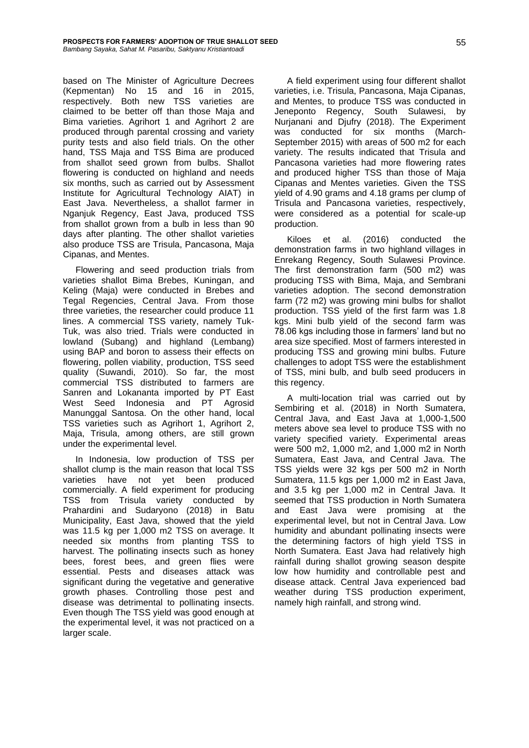based on The Minister of Agriculture Decrees (Kepmentan) No 15 and 16 in 2015, respectively. Both new TSS varieties are claimed to be better off than those Maja and Bima varieties. Agrihort 1 and Agrihort 2 are produced through parental crossing and variety purity tests and also field trials. On the other hand, TSS Maja and TSS Bima are produced from shallot seed grown from bulbs. Shallot flowering is conducted on highland and needs six months, such as carried out by Assessment Institute for Agricultural Technology AIAT) in East Java. Nevertheless, a shallot farmer in Nganjuk Regency, East Java, produced TSS from shallot grown from a bulb in less than 90 days after planting. The other shallot varieties also produce TSS are Trisula, Pancasona, Maja Cipanas, and Mentes.

Flowering and seed production trials from varieties shallot Bima Brebes, Kuningan, and Keling (Maja) were conducted in Brebes and Tegal Regencies, Central Java. From those three varieties, the researcher could produce 11 lines. A commercial TSS variety, namely Tuk-Tuk, was also tried. Trials were conducted in lowland (Subang) and highland (Lembang) using BAP and boron to assess their effects on flowering, pollen viability, production, TSS seed quality (Suwandi, 2010). So far, the most commercial TSS distributed to farmers are Sanren and Lokananta imported by PT East West Seed Indonesia and PT Agrosid Manunggal Santosa. On the other hand, local TSS varieties such as Agrihort 1, Agrihort 2, Maja, Trisula, among others, are still grown under the experimental level.

In Indonesia, low production of TSS per shallot clump is the main reason that local TSS varieties have not yet been produced commercially. A field experiment for producing TSS from Trisula variety conducted by Prahardini and Sudaryono (2018) in Batu Municipality, East Java, showed that the yield was 11.5 kg per 1,000 m2 TSS on average. It needed six months from planting TSS to harvest. The pollinating insects such as honey bees, forest bees, and green flies were essential. Pests and diseases attack was significant during the vegetative and generative growth phases. Controlling those pest and disease was detrimental to pollinating insects. Even though The TSS yield was good enough at the experimental level, it was not practiced on a larger scale.

A field experiment using four different shallot varieties, i.e. Trisula, Pancasona, Maja Cipanas, and Mentes, to produce TSS was conducted in Jeneponto Regency, South Sulawesi, by Nurjanani and Djufry (2018). The Experiment was conducted for six months (March-September 2015) with areas of 500 m2 for each variety. The results indicated that Trisula and Pancasona varieties had more flowering rates and produced higher TSS than those of Maja Cipanas and Mentes varieties. Given the TSS yield of 4.90 grams and 4.18 grams per clump of Trisula and Pancasona varieties, respectively, were considered as a potential for scale-up production.

Kiloes et al. (2016) conducted the demonstration farms in two highland villages in Enrekang Regency, South Sulawesi Province. The first demonstration farm (500 m2) was producing TSS with Bima, Maja, and Sembrani varieties adoption. The second demonstration farm (72 m2) was growing mini bulbs for shallot production. TSS yield of the first farm was 1.8 kgs. Mini bulb yield of the second farm was 78.06 kgs including those in farmers' land but no area size specified. Most of farmers interested in producing TSS and growing mini bulbs. Future challenges to adopt TSS were the establishment of TSS, mini bulb, and bulb seed producers in this regency.

A multi-location trial was carried out by Sembiring et al. (2018) in North Sumatera, Central Java, and East Java at 1,000-1,500 meters above sea level to produce TSS with no variety specified variety. Experimental areas were 500 m2, 1,000 m2, and 1,000 m2 in North Sumatera, East Java, and Central Java. The TSS yields were 32 kgs per 500 m2 in North Sumatera, 11.5 kgs per 1,000 m2 in East Java, and 3.5 kg per 1,000 m2 in Central Java. It seemed that TSS production in North Sumatera and East Java were promising at the experimental level, but not in Central Java. Low humidity and abundant pollinating insects were the determining factors of high yield TSS in North Sumatera. East Java had relatively high rainfall during shallot growing season despite low how humidity and controllable pest and disease attack. Central Java experienced bad weather during TSS production experiment, namely high rainfall, and strong wind.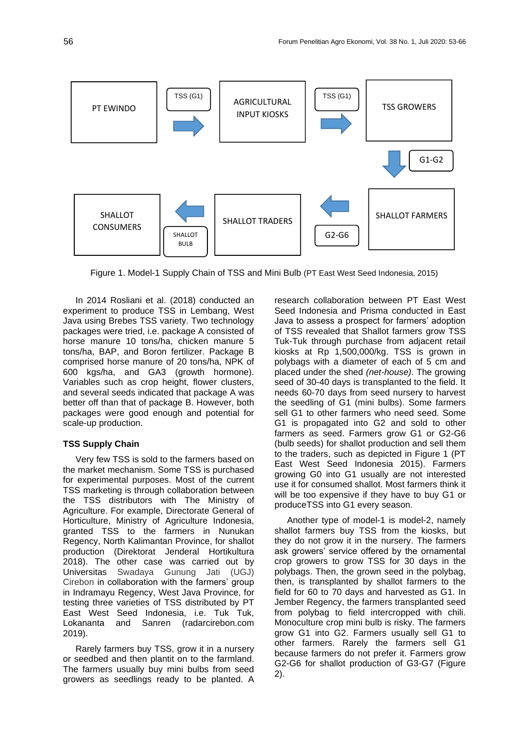

Figure 1. Model-1 Supply Chain of TSS and Mini Bulb (PT East West Seed Indonesia, 2015)

In 2014 Rosliani et al. (2018) conducted an experiment to produce TSS in Lembang, West Java using Brebes TSS variety. Two technology packages were tried, i.e. package A consisted of horse manure 10 tons/ha, chicken manure 5 tons/ha, BAP, and Boron fertilizer. Package B comprised horse manure of 20 tons/ha, NPK of 600 kgs/ha, and GA3 (growth hormone). Variables such as crop height, flower clusters, and several seeds indicated that package A was better off than that of package B. However, both packages were good enough and potential for scale-up production.

## **TSS Supply Chain**

Very few TSS is sold to the farmers based on the market mechanism. Some TSS is purchased for experimental purposes. Most of the current TSS marketing is through collaboration between the TSS distributors with The Ministry of Agriculture. For example, Directorate General of Horticulture, Ministry of Agriculture Indonesia, granted TSS to the farmers in Nunukan Regency, North Kalimantan Province, for shallot production (Direktorat Jenderal Hortikultura 2018). The other case was carried out by Universitas Swadaya Gunung Jati (UGJ) Cirebon in collaboration with the farmers' group in Indramayu Regency, West Java Province, for testing three varieties of TSS distributed by PT East West Seed Indonesia, i.e. Tuk Tuk, Lokananta and Sanren (radarcirebon.com 2019).

Rarely farmers buy TSS, grow it in a nursery or seedbed and then plantit on to the farmland. The farmers usually buy mini bulbs from seed growers as seedlings ready to be planted. A

research collaboration between PT East West Seed Indonesia and Prisma conducted in East Java to assess a prospect for farmers' adoption of TSS revealed that Shallot farmers grow TSS Tuk-Tuk through purchase from adjacent retail kiosks at Rp 1,500,000/kg. TSS is grown in polybags with a diameter of each of 5 cm and placed under the shed *(net-house)*. The growing seed of 30-40 days is transplanted to the field. It needs 60-70 days from seed nursery to harvest the seedling of G1 (mini bulbs). Some farmers sell G1 to other farmers who need seed. Some G1 is propagated into G2 and sold to other farmers as seed. Farmers grow G1 or G2-G6 (bulb seeds) for shallot production and sell them to the traders, such as depicted in Figure 1 (PT East West Seed Indonesia 2015). Farmers growing G0 into G1 usually are not interested use it for consumed shallot. Most farmers think it will be too expensive if they have to buy G1 or produceTSS into G1 every season.

Another type of model-1 is model-2, namely shallot farmers buy TSS from the kiosks, but they do not grow it in the nursery. The farmers ask growers' service offered by the ornamental crop growers to grow TSS for 30 days in the polybags. Then, the grown seed in the polybag, then, is transplanted by shallot farmers to the field for 60 to 70 days and harvested as G1. In Jember Regency, the farmers transplanted seed from polybag to field intercropped with chili. Monoculture crop mini bulb is risky. The farmers grow G1 into G2. Farmers usually sell G1 to other farmers. Rarely the farmers sell G1 because farmers do not prefer it. Farmers grow G2-G6 for shallot production of G3-G7 (Figure 2).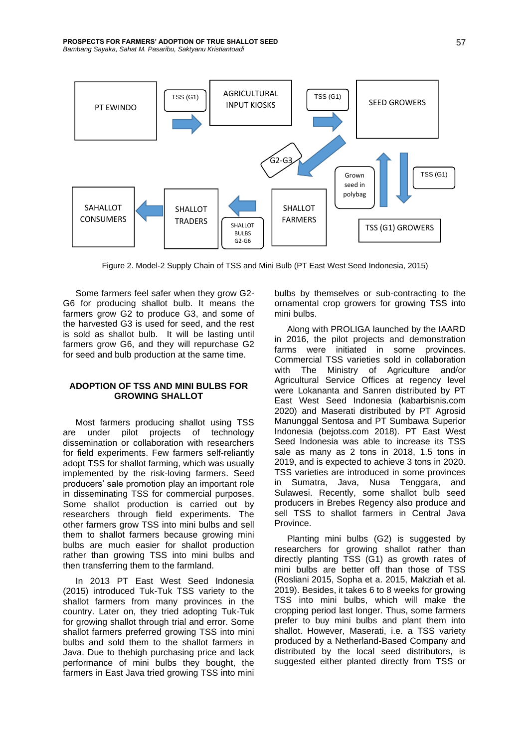

Figure 2. Model-2 Supply Chain of TSS and Mini Bulb (PT East West Seed Indonesia, 2015)

Some farmers feel safer when they grow G2- G6 for producing shallot bulb. It means the farmers grow G2 to produce G3, and some of the harvested G3 is used for seed, and the rest is sold as shallot bulb. It will be lasting until farmers grow G6, and they will repurchase G2 for seed and bulb production at the same time.

## **ADOPTION OF TSS AND MINI BULBS FOR GROWING SHALLOT**

Most farmers producing shallot using TSS are under pilot projects of technology dissemination or collaboration with researchers for field experiments. Few farmers self-reliantly adopt TSS for shallot farming, which was usually implemented by the risk-loving farmers. Seed producers' sale promotion play an important role in disseminating TSS for commercial purposes. Some shallot production is carried out by researchers through field experiments. The other farmers grow TSS into mini bulbs and sell them to shallot farmers because growing mini bulbs are much easier for shallot production rather than growing TSS into mini bulbs and then transferring them to the farmland.

In 2013 PT East West Seed Indonesia (2015) introduced Tuk-Tuk TSS variety to the shallot farmers from many provinces in the country. Later on, they tried adopting Tuk-Tuk for growing shallot through trial and error. Some shallot farmers preferred growing TSS into mini bulbs and sold them to the shallot farmers in Java. Due to thehigh purchasing price and lack performance of mini bulbs they bought, the farmers in East Java tried growing TSS into mini

bulbs by themselves or sub-contracting to the ornamental crop growers for growing TSS into mini bulbs.

Along with PROLIGA launched by the IAARD in 2016, the pilot projects and demonstration farms were initiated in some provinces. Commercial TSS varieties sold in collaboration<br>with The Ministry of Agriculture and/or The Ministry of Agriculture and/or Agricultural Service Offices at regency level were Lokananta and Sanren distributed by PT East West Seed Indonesia (kabarbisnis.com 2020) and Maserati distributed by PT Agrosid Manunggal Sentosa and PT Sumbawa Superior Indonesia (bejotss.com 2018). PT East West Seed Indonesia was able to increase its TSS sale as many as 2 tons in 2018, 1.5 tons in 2019, and is expected to achieve 3 tons in 2020. TSS varieties are introduced in some provinces in Sumatra, Java, Nusa Tenggara, and Sulawesi. Recently, some shallot bulb seed producers in Brebes Regency also produce and sell TSS to shallot farmers in Central Java Province.

Planting mini bulbs (G2) is suggested by researchers for growing shallot rather than directly planting TSS (G1) as growth rates of mini bulbs are better off than those of TSS (Rosliani 2015, Sopha et a. 2015, Makziah et al. 2019). Besides, it takes 6 to 8 weeks for growing TSS into mini bulbs, which will make the cropping period last longer. Thus, some farmers prefer to buy mini bulbs and plant them into shallot. However, Maserati, i.e. a TSS variety produced by a Netherland-Based Company and distributed by the local seed distributors, is suggested either planted directly from TSS or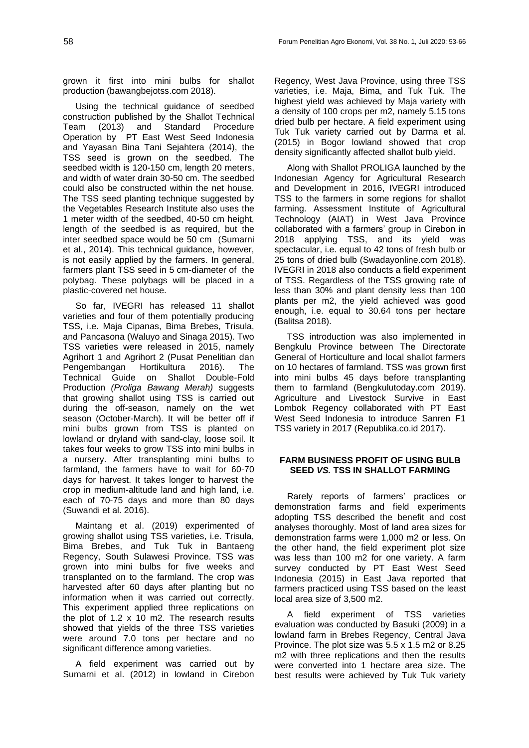grown it first into mini bulbs for shallot production (bawangbejotss.com 2018).

Using the technical guidance of seedbed construction published by the Shallot Technical Team (2013) and Standard Procedure Operation by PT East West Seed Indonesia and Yayasan Bina Tani Sejahtera (2014), the TSS seed is grown on the seedbed. The seedbed width is 120-150 cm, length 20 meters, and width of water drain 30-50 cm. The seedbed could also be constructed within the net house. The TSS seed planting technique suggested by the Vegetables Research Institute also uses the 1 meter width of the seedbed, 40-50 cm height, length of the seedbed is as required, but the inter seedbed space would be 50 cm (Sumarni et al., 2014). This technical guidance, however, is not easily applied by the farmers. In general, farmers plant TSS seed in 5 cm-diameter of the polybag. These polybags will be placed in a plastic-covered net house.

So far, IVEGRI has released 11 shallot varieties and four of them potentially producing TSS, i.e. Maja Cipanas, Bima Brebes, Trisula, and Pancasona (Waluyo and Sinaga 2015). Two TSS varieties were released in 2015, namely Agrihort 1 and Agrihort 2 (Pusat Penelitian dan Pengembangan Hortikultura 2016). The Technical Guide on Shallot Double-Fold Production *(Proliga Bawang Merah)* suggests that growing shallot using TSS is carried out during the off-season, namely on the wet season (October-March). It will be better off if mini bulbs grown from TSS is planted on lowland or dryland with sand-clay, loose soil. It takes four weeks to grow TSS into mini bulbs in a nursery. After transplanting mini bulbs to farmland, the farmers have to wait for 60-70 days for harvest. It takes longer to harvest the crop in medium-altitude land and high land, i.e. each of 70-75 days and more than 80 days (Suwandi et al. 2016).

Maintang et al. (2019) experimented of growing shallot using TSS varieties, i.e. Trisula, Bima Brebes, and Tuk Tuk in Bantaeng Regency, South Sulawesi Province. TSS was grown into mini bulbs for five weeks and transplanted on to the farmland. The crop was harvested after 60 days after planting but no information when it was carried out correctly. This experiment applied three replications on the plot of 1.2 x 10 m2. The research results showed that yields of the three TSS varieties were around 7.0 tons per hectare and no significant difference among varieties.

A field experiment was carried out by Sumarni et al. (2012) in lowland in Cirebon

Regency, West Java Province, using three TSS varieties, i.e. Maja, Bima, and Tuk Tuk. The highest yield was achieved by Maja variety with a density of 100 crops per m2, namely 5.15 tons dried bulb per hectare. A field experiment using Tuk Tuk variety carried out by Darma et al. (2015) in Bogor lowland showed that crop density significantly affected shallot bulb yield.

Along with Shallot PROLIGA launched by the Indonesian Agency for Agricultural Research and Development in 2016, IVEGRI introduced TSS to the farmers in some regions for shallot farming. Assessment Institute of Agricultural Technology (AIAT) in West Java Province collaborated with a farmers' group in Cirebon in 2018 applying TSS, and its yield was spectacular, i.e. equal to 42 tons of fresh bulb or 25 tons of dried bulb (Swadayonline.com 2018). IVEGRI in 2018 also conducts a field experiment of TSS. Regardless of the TSS growing rate of less than 30% and plant density less than 100 plants per m2, the yield achieved was good enough, i.e. equal to 30.64 tons per hectare (Balitsa 2018).

TSS introduction was also implemented in Bengkulu Province between The Directorate General of Horticulture and local shallot farmers on 10 hectares of farmland. TSS was grown first into mini bulbs 45 days before transplanting them to farmland (Bengkulutoday.com 2019). Agriculture and Livestock Survive in East Lombok Regency collaborated with PT East West Seed Indonesia to introduce Sanren F1 TSS variety in 2017 (Republika.co.id 2017).

### **FARM BUSINESS PROFIT OF USING BULB SEED** *VS.* **TSS IN SHALLOT FARMING**

Rarely reports of farmers' practices or demonstration farms and field experiments adopting TSS described the benefit and cost analyses thoroughly. Most of land area sizes for demonstration farms were 1,000 m2 or less. On the other hand, the field experiment plot size was less than 100 m2 for one variety. A farm survey conducted by PT East West Seed Indonesia (2015) in East Java reported that farmers practiced using TSS based on the least local area size of 3,500 m2.

A field experiment of TSS varieties evaluation was conducted by Basuki (2009) in a lowland farm in Brebes Regency, Central Java Province. The plot size was 5.5 x 1.5 m2 or 8.25 m2 with three replications and then the results were converted into 1 hectare area size. The best results were achieved by Tuk Tuk variety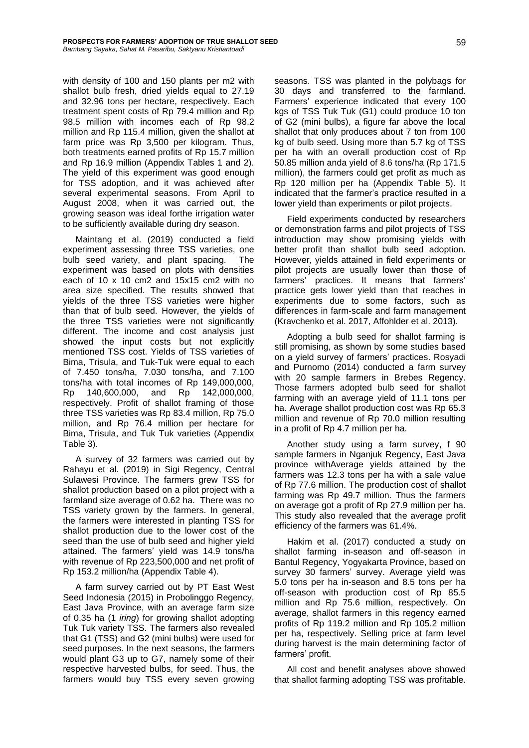with density of 100 and 150 plants per m2 with shallot bulb fresh, dried yields equal to 27.19 and 32.96 tons per hectare, respectively. Each treatment spent costs of Rp 79.4 million and Rp 98.5 million with incomes each of Rp 98.2 million and Rp 115.4 million, given the shallot at farm price was Rp 3,500 per kilogram. Thus, both treatments earned profits of Rp 15.7 million and Rp 16.9 million (Appendix Tables 1 and 2). The yield of this experiment was good enough for TSS adoption, and it was achieved after several experimental seasons. From April to August 2008, when it was carried out, the growing season was ideal forthe irrigation water to be sufficiently available during dry season.

Maintang et al. (2019) conducted a field experiment assessing three TSS varieties, one bulb seed variety, and plant spacing. The experiment was based on plots with densities each of 10 x 10 cm2 and 15x15 cm2 with no area size specified. The results showed that yields of the three TSS varieties were higher than that of bulb seed. However, the yields of the three TSS varieties were not significantly different. The income and cost analysis just showed the input costs but not explicitly mentioned TSS cost. Yields of TSS varieties of Bima, Trisula, and Tuk-Tuk were equal to each of 7.450 tons/ha, 7.030 tons/ha, and 7.100 tons/ha with total incomes of Rp 149,000,000, Rp 140,600,000, and Rp 142,000,000, respectively. Profit of shallot framing of those three TSS varieties was Rp 83.4 million, Rp 75.0 million, and Rp 76.4 million per hectare for Bima, Trisula, and Tuk Tuk varieties (Appendix Table 3).

A survey of 32 farmers was carried out by Rahayu et al. (2019) in Sigi Regency, Central Sulawesi Province. The farmers grew TSS for shallot production based on a pilot project with a farmland size average of 0.62 ha. There was no TSS variety grown by the farmers. In general, the farmers were interested in planting TSS for shallot production due to the lower cost of the seed than the use of bulb seed and higher yield attained. The farmers' yield was 14.9 tons/ha with revenue of Rp 223,500,000 and net profit of Rp 153.2 million/ha (Appendix Table 4).

A farm survey carried out by PT East West Seed Indonesia (2015) in Probolinggo Regency, East Java Province, with an average farm size of 0.35 ha (1 *iring*) for growing shallot adopting Tuk Tuk variety TSS. The farmers also revealed that G1 (TSS) and G2 (mini bulbs) were used for seed purposes. In the next seasons, the farmers would plant G3 up to G7, namely some of their respective harvested bulbs, for seed. Thus, the farmers would buy TSS every seven growing seasons. TSS was planted in the polybags for 30 days and transferred to the farmland. Farmers' experience indicated that every 100 kgs of TSS Tuk Tuk (G1) could produce 10 ton of G2 (mini bulbs), a figure far above the local shallot that only produces about 7 ton from 100 kg of bulb seed. Using more than 5.7 kg of TSS per ha with an overall production cost of Rp 50.85 million anda yield of 8.6 tons/ha (Rp 171.5 million), the farmers could get profit as much as Rp 120 million per ha (Appendix Table 5). It indicated that the farmer's practice resulted in a lower yield than experiments or pilot projects.

Field experiments conducted by researchers or demonstration farms and pilot projects of TSS introduction may show promising yields with better profit than shallot bulb seed adoption. However, yields attained in field experiments or pilot projects are usually lower than those of farmers' practices. It means that farmers' practice gets lower yield than that reaches in experiments due to some factors, such as differences in farm-scale and farm management (Kravchenko et al. 2017, Affohlder et al. 2013).

Adopting a bulb seed for shallot farming is still promising, as shown by some studies based on a yield survey of farmers' practices. Rosyadi and Purnomo (2014) conducted a farm survey with 20 sample farmers in Brebes Regency. Those farmers adopted bulb seed for shallot farming with an average yield of 11.1 tons per ha. Average shallot production cost was Rp 65.3 million and revenue of Rp 70.0 million resulting in a profit of Rp 4.7 million per ha.

Another study using a farm survey, f 90 sample farmers in Nganjuk Regency, East Java province withAverage yields attained by the farmers was 12.3 tons per ha with a sale value of Rp 77.6 million. The production cost of shallot farming was Rp 49.7 million. Thus the farmers on average got a profit of Rp 27.9 million per ha. This study also revealed that the average profit efficiency of the farmers was 61.4%.

Hakim et al. (2017) conducted a study on shallot farming in-season and off-season in Bantul Regency, Yogyakarta Province, based on survey 30 farmers' survey. Average yield was 5.0 tons per ha in-season and 8.5 tons per ha off-season with production cost of Rp 85.5 million and Rp 75.6 million, respectively. On average, shallot farmers in this regency earned profits of Rp 119.2 million and Rp 105.2 million per ha, respectively. Selling price at farm level during harvest is the main determining factor of farmers' profit.

All cost and benefit analyses above showed that shallot farming adopting TSS was profitable.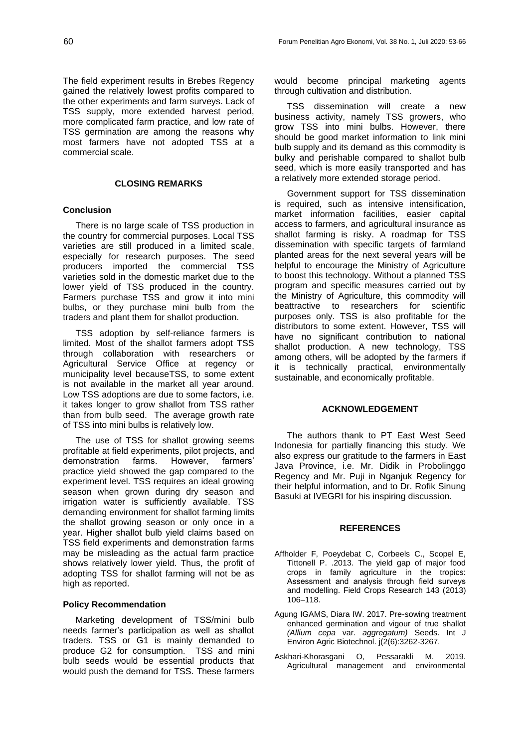The field experiment results in Brebes Regency gained the relatively lowest profits compared to the other experiments and farm surveys. Lack of TSS supply, more extended harvest period, more complicated farm practice, and low rate of TSS germination are among the reasons why most farmers have not adopted TSS at a commercial scale.

### **CLOSING REMARKS**

## **Conclusion**

There is no large scale of TSS production in the country for commercial purposes. Local TSS varieties are still produced in a limited scale, especially for research purposes. The seed producers imported the commercial TSS varieties sold in the domestic market due to the lower yield of TSS produced in the country. Farmers purchase TSS and grow it into mini bulbs, or they purchase mini bulb from the traders and plant them for shallot production.

TSS adoption by self-reliance farmers is limited. Most of the shallot farmers adopt TSS through collaboration with researchers or Agricultural Service Office at regency or municipality level becauseTSS, to some extent is not available in the market all year around. Low TSS adoptions are due to some factors, i.e. it takes longer to grow shallot from TSS rather than from bulb seed. The average growth rate of TSS into mini bulbs is relatively low.

The use of TSS for shallot growing seems profitable at field experiments, pilot projects, and demonstration farms. However, farmers' practice yield showed the gap compared to the experiment level. TSS requires an ideal growing season when grown during dry season and irrigation water is sufficiently available. TSS demanding environment for shallot farming limits the shallot growing season or only once in a year. Higher shallot bulb yield claims based on TSS field experiments and demonstration farms may be misleading as the actual farm practice shows relatively lower yield. Thus, the profit of adopting TSS for shallot farming will not be as high as reported.

### **Policy Recommendation**

Marketing development of TSS/mini bulb needs farmer's participation as well as shallot traders. TSS or G1 is mainly demanded to produce G2 for consumption. TSS and mini bulb seeds would be essential products that would push the demand for TSS. These farmers

would become principal marketing agents through cultivation and distribution.

TSS dissemination will create a new business activity, namely TSS growers, who grow TSS into mini bulbs. However, there should be good market information to link mini bulb supply and its demand as this commodity is bulky and perishable compared to shallot bulb seed, which is more easily transported and has a relatively more extended storage period.

Government support for TSS dissemination is required, such as intensive intensification, market information facilities, easier capital access to farmers, and agricultural insurance as shallot farming is risky. A roadmap for TSS dissemination with specific targets of farmland planted areas for the next several years will be helpful to encourage the Ministry of Agriculture to boost this technology. Without a planned TSS program and specific measures carried out by the Ministry of Agriculture, this commodity will beattractive to researchers for scientific purposes only. TSS is also profitable for the distributors to some extent. However, TSS will have no significant contribution to national shallot production. A new technology, TSS among others, will be adopted by the farmers if it is technically practical, environmentally sustainable, and economically profitable.

#### **ACKNOWLEDGEMENT**

The authors thank to PT East West Seed Indonesia for partially financing this study. We also express our gratitude to the farmers in East Java Province, i.e. Mr. Didik in Probolinggo Regency and Mr. Puji in Nganjuk Regency for their helpful information, and to Dr. Rofik Sinung Basuki at IVEGRI for his inspiring discussion.

#### **REFERENCES**

- Affholder F, Poeydebat C, Corbeels C., Scopel E, Tittonell P. .2013. The yield gap of major food crops in family agriculture in the tropics: Assessment and analysis through field surveys and modelling. Field Crops Research 143 (2013) 106–118.
- Agung IGAMS, Diara IW. 2017. Pre-sowing treatment enhanced germination and vigour of true shallot *(Allium cepa* var*. aggregatum)* Seeds. Int J Environ Agric Biotechnol. j(2(6):3262-3267.
- Askhari-Khorasgani O, Pessarakli M. 2019. Agricultural management and environmental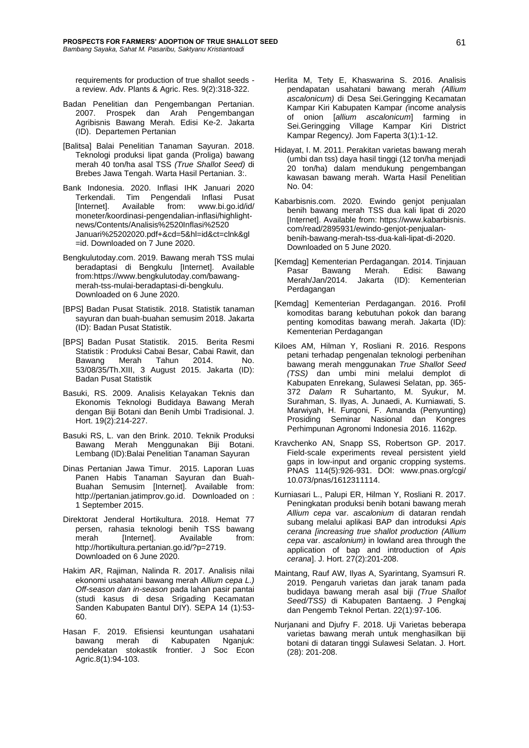requirements for production of true shallot seeds a review. Adv. Plants & Agric. Res. 9(2):318-322.

- Badan Penelitian dan Pengembangan Pertanian. 2007. Prospek dan Arah Pengembangan Agribisnis Bawang Merah. Edisi Ke-2. Jakarta (ID). Departemen Pertanian
- [Balitsa] Balai Penelitian Tanaman Sayuran. 2018. Teknologi produksi lipat ganda (Proliga) bawang merah 40 ton/ha asal TSS *(True Shallot Seed)* di Brebes Jawa Tengah. Warta Hasil Pertanian. 3:.
- Bank Indonesia. 2020. Inflasi IHK Januari 2020 Terkendali. Tim Pengendali Inflasi Pusat [Internet]. Available from: [www.bi.go.id/id/](http://www.bi.go.id/id/%20moneter/koordinasi-pengendalian-inflasi/highlight-news/Contents/)  [moneter/koordinasi-pengendalian-inflasi/highlight](http://www.bi.go.id/id/%20moneter/koordinasi-pengendalian-inflasi/highlight-news/Contents/)[news/Contents/A](http://www.bi.go.id/id/%20moneter/koordinasi-pengendalian-inflasi/highlight-news/Contents/)nalisis%2520Inflasi%2520 Januari%25202020.pdf+&cd=5&hl=id&ct=clnk&gl =id. Downloaded on 7 June 2020.
- Bengkulutoday.com. 2019. Bawang merah TSS mulai beradaptasi di Bengkulu [Internet]. Available fro[m:https://www.bengkulutoday.com/bawang](https://www.bengkulutoday.com/bawang-merah-tss-mulai-beradaptasi-di-bengkulu)[merah-tss-mulai-beradaptasi-di-bengkulu.](https://www.bengkulutoday.com/bawang-merah-tss-mulai-beradaptasi-di-bengkulu) Downloaded on 6 June 2020.
- [BPS] Badan Pusat Statistik. 2018. Statistik tanaman sayuran dan buah-buahan semusim 2018. Jakarta (ID): Badan Pusat Statistik.
- [BPS] Badan Pusat Statistik. 2015. Berita Resmi Statistik : Produksi Cabai Besar, Cabai Rawit, dan Bawang Merah Tahun 2014. No. 53/08/35/Th.XIII, 3 August 2015. Jakarta (ID): Badan Pusat Statistik
- Basuki, RS. 2009. Analisis Kelayakan Teknis dan Ekonomis Teknologi Budidaya Bawang Merah dengan Biji Botani dan Benih Umbi Tradisional. J. Hort. 19(2):214-227.
- Basuki RS, L. van den Brink. 2010. Teknik Produksi Bawang Merah Menggunakan Biji Botani. Lembang (ID):Balai Penelitian Tanaman Sayuran
- Dinas Pertanian Jawa Timur. 2015. Laporan Luas Panen Habis Tanaman Sayuran dan Buah-Buahan Semusim [Internet]. Available from: [http://pertanian.jatimprov.go.id.](http://pertanian.jatimprov.go.id/) Downloaded on : 1 September 2015.
- Direktorat Jenderal Hortikultura. 2018. Hemat 77 persen, rahasia teknologi benih TSS bawang merah [Internet]. Available from: [http://hortikultura.pertanian.go.id/?p=2719.](http://hortikultura.pertanian.go.id/?p=2719) Downloaded on 6 June 2020.
- Hakim AR, Rajiman, Nalinda R. 2017. Analisis nilai ekonomi usahatani bawang merah *Allium cepa L.) Off-season dan in-season* pada lahan pasir pantai (studi kasus di desa Srigading Kecamatan Sanden Kabupaten Bantul DIY). SEPA 14 (1):53- 60.
- Hasan F. 2019. Efisiensi keuntungan usahatani bawang merah di Kabupaten Nganjuk: pendekatan stokastik frontier. J Soc Econ Agric.8(1):94-103.
- Herlita M, Tety E, Khaswarina S. 2016. Analisis pendapatan usahatani bawang merah *(Allium ascalonicum)* di Desa Sei.Geringging Kecamatan Kampar Kiri Kabupaten Kampar *(*income analysis of onion [*allium ascalonicum*] farming in Sei.Geringging Village Kampar Kiri District Kampar Regency*).* Jom Faperta 3(1):1-12.
- Hidayat, I. M. 2011. Perakitan varietas bawang merah (umbi dan tss) daya hasil tinggi (12 ton/ha menjadi 20 ton/ha) dalam mendukung pengembangan kawasan bawang merah. Warta Hasil Penelitian No. 04:
- Kabarbisnis.com. 2020. Ewindo genjot penjualan benih bawang merah TSS dua kali lipat di 2020 [Internet]. Available from: https://www.kabarbisnis. com/read/2895931/ewindo-genjot-penjualanbenih-bawang-merah-tss-dua-kali-lipat-di-2020. Downloaded on 5 June 2020.
- [Kemdag] Kementerian Perdagangan. 2014. Tinjauan Pasar Bawang Merah. Edisi: Bawang<br>Merah/Jan/2014. Jakarta (ID): Kementerian Jakarta (ID): Kementerian Perdagangan
- [Kemdag] Kementerian Perdagangan. 2016. Profil komoditas barang kebutuhan pokok dan barang penting komoditas bawang merah. Jakarta (ID): Kementerian Perdagangan
- Kiloes AM, Hilman Y, Rosliani R. 2016. Respons petani terhadap pengenalan teknologi perbenihan bawang merah menggunakan *True Shallot Seed (TSS)* dan umbi mini melalui demplot di Kabupaten Enrekang, Sulawesi Selatan, pp. 365- 372 *Dalam* R Suhartanto, M. Syukur, M. Surahman, S. Ilyas, A. Junaedi, A. Kurniawati, S. Marwiyah, H. Furqoni, F. Amanda (Penyunting) Prosiding Seminar Nasional dan Kongres Perhimpunan Agronomi Indonesia 2016. 1162p.
- Kravchenko AN, Snapp SS, Robertson GP. 2017. Field-scale experiments reveal persistent yield gaps in low-input and organic cropping systems. PNAS 114(5):926-931. DOI: [www.pnas.org/c](http://www.pnas.org/)gi/ 10.073/pnas/1612311114.
- Kurniasari L., Palupi ER, Hilman Y, Rosliani R. 2017. Peningkatan produksi benih botani bawang merah *Allium cepa* var. *ascalonium* di dataran rendah subang melalui aplikasi BAP dan introduksi *Apis cerana [increasing true shallot production (Allium cepa* var. *ascalonium)* in lowland area through the application of bap and introduction of *Apis cerana*]. J. Hort. 27(2):201-208.
- Maintang, Rauf AW, Ilyas A, Syarintang, Syamsuri R. 2019. Pengaruh varietas dan jarak tanam pada budidaya bawang merah asal biji *(True Shallot Seed/TSS)* di Kabupaten Bantaeng. J Pengkaj dan Pengemb Teknol Pertan. 22(1):97-106.
- Nurjanani and Djufry F. 2018. Uji Varietas beberapa varietas bawang merah untuk menghasilkan biji botani di dataran tinggi Sulawesi Selatan. J. Hort. (28): 201-208.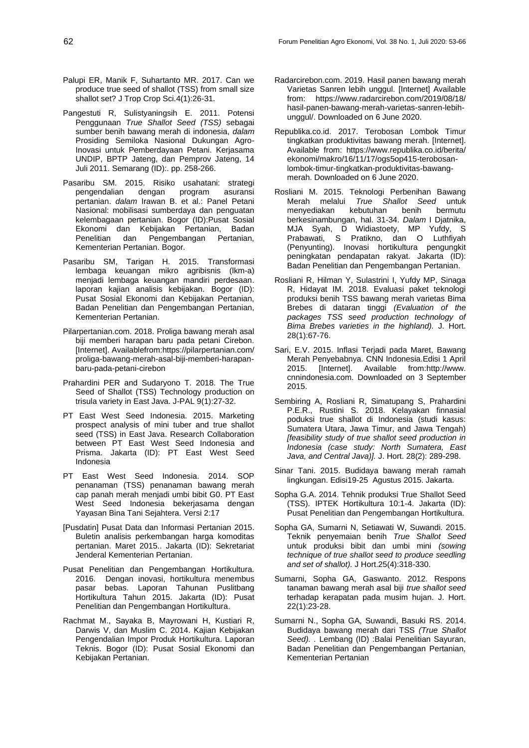- Palupi ER, Manik F, Suhartanto MR. 2017. Can we produce true seed of shallot (TSS) from small size shallot set? J Trop Crop Sci.4(1):26-31.
- Pangestuti R, Sulistyaningsih E. 2011. Potensi Penggunaan *True Shallot Seed (TSS)* sebagai sumber benih bawang merah di indonesia, *dalam*  Prosiding Semiloka Nasional Dukungan Agro-Inovasi untuk Pemberdayaan Petani. Kerjasama UNDIP, BPTP Jateng, dan Pemprov Jateng, 14 Juli 2011. Semarang (ID):. pp. 258-266.
- Pasaribu SM. 2015. Risiko usahatani: strategi pengendalian dengan program asuransi pertanian. *dalam* Irawan B. et al.: Panel Petani Nasional: mobilisasi sumberdaya dan penguatan kelembagaan pertanian. Bogor (ID):Pusat Sosial Ekonomi dan Kebijakan Pertanian, Badan Penelitian dan Pengembangan Pertanian, Kementerian Pertanian. Bogor.
- Pasaribu SM, Tarigan H. 2015. Transformasi lembaga keuangan mikro agribisnis (lkm-a) menjadi lembaga keuangan mandiri perdesaan. laporan kajian analisis kebijakan. Bogor (ID): Pusat Sosial Ekonomi dan Kebijakan Pertanian, Badan Penelitian dan Pengembangan Pertanian, Kementerian Pertanian.
- Pilarpertanian.com. 2018. Proliga bawang merah asal biji memberi harapan baru pada petani Cirebon. [Internet]. Availablefrom:https://pilarpertanian.com/ proliga-bawang-merah-asal-biji-memberi-harapanbaru-pada-petani-cirebon
- Prahardini PER and Sudaryono T. 2018. The True Seed of Shallot (TSS) Technology production on trisula variety in East Java. J-PAL 9(1):27-32.
- PT East West Seed Indonesia. 2015. Marketing prospect analysis of mini tuber and true shallot seed (TSS) in East Java. Research Collaboration between PT East West Seed Indonesia and Prisma. Jakarta (ID): PT East West Seed Indonesia
- PT East West Seed Indonesia. 2014. SOP penanaman (TSS) penanaman bawang merah cap panah merah menjadi umbi bibit G0. PT East West Seed Indonesia bekerjasama dengan Yayasan Bina Tani Sejahtera. Versi 2:17
- [Pusdatin] Pusat Data dan Informasi Pertanian 2015. Buletin analisis perkembangan harga komoditas pertanian. Maret 2015.. Jakarta (ID): Sekretariat Jenderal Kementerian Pertanian.
- Pusat Penelitian dan Pengembangan Hortikultura. 2016. Dengan inovasi, hortikultura menembus pasar bebas. Laporan Tahunan Puslitbang Hortikultura Tahun 2015. Jakarta (ID): Pusat Penelitian dan Pengembangan Hortikultura.
- Rachmat M., Sayaka B, Mayrowani H, Kustiari R, Darwis V, dan Muslim C. 2014. Kajian Kebijakan Pengendalian Impor Produk Hortikultura. Laporan Teknis. Bogor (ID): Pusat Sosial Ekonomi dan Kebijakan Pertanian.
- Radarcirebon.com. 2019. Hasil panen bawang merah Varietas Sanren lebih unggul. [Internet] Available from: [https://www.radarcirebon.com/2019/08/18/](https://www.radarcirebon.com/2019/08/18/%20hasil-panen-bawang-merah-varietas-sanren-lebih-unggul/)  [hasil-panen-bawang-merah-varietas-sanren-lebih](https://www.radarcirebon.com/2019/08/18/%20hasil-panen-bawang-merah-varietas-sanren-lebih-unggul/)[unggul/.](https://www.radarcirebon.com/2019/08/18/%20hasil-panen-bawang-merah-varietas-sanren-lebih-unggul/) Downloaded on 6 June 2020.
- Republika.co.id. 2017. Terobosan Lombok Timur tingkatkan produktivitas bawang merah. [Internet]. Available from: [https://www.republika.co.id/berita/](https://www.republika.co.id/berita/%20ekonomi/makro/16/11/17/ogs5op415-terobosan-lombok-timur-tingkatkan-produktivitas-bawang-merah)  [ekonomi/makro/16/11/17/ogs5op415-terobosan](https://www.republika.co.id/berita/%20ekonomi/makro/16/11/17/ogs5op415-terobosan-lombok-timur-tingkatkan-produktivitas-bawang-merah)[lombok-timur-tingkatkan-produktivitas-bawang](https://www.republika.co.id/berita/%20ekonomi/makro/16/11/17/ogs5op415-terobosan-lombok-timur-tingkatkan-produktivitas-bawang-merah)[merah.](https://www.republika.co.id/berita/%20ekonomi/makro/16/11/17/ogs5op415-terobosan-lombok-timur-tingkatkan-produktivitas-bawang-merah) Downloaded on 6 June 2020.
- Rosliani M. 2015. Teknologi Perbenihan Bawang Merah melalui *True Shallot Seed* untuk menyediakan kebutuhan benih berkesinambungan, hal. 31-34. *Dalam* I Djatnika, MJA Syah, D Widiastoety, MP Yufdy, S Prabawati, S Pratikno, dan O Luthfiyah (Penyunting). Inovasi hortikultura pengungkit peningkatan pendapatan rakyat. Jakarta (ID): Badan Penelitian dan Pengembangan Pertanian.
- Rosliani R, Hilman Y, Sulastrini I, Yufdy MP, Sinaga R, Hidayat IM. 2018. Evaluasi paket teknologi produksi benih TSS bawang merah varietas Bima Brebes di dataran tinggi *(Evaluation of the packages TSS seed production technology of Bima Brebes varieties in the highland).* J. Hort. 28(1):67-76.
- Sari, E.V. 2015. Inflasi Terjadi pada Maret, Bawang Merah Penyebabnya. CNN Indonesia.Edisi 1 April 2015. [Internet]. Available from:http://www. cnnindonesia.com. Downloaded on 3 September 2015.
- Sembiring A, Rosliani R, Simatupang S, Prahardini P.E.R., Rustini S. 2018. Kelayakan finnasial poduksi true shallot di Indonesia (studi kasus: Sumatera Utara, Jawa Timur, and Jawa Tengah) *[feasibility study of true shallot seed production in Indonesia (case study: North Sumatera, East Java, and Central Java)].* J. Hort. 28(2): 289-298.
- Sinar Tani. 2015. Budidaya bawang merah ramah lingkungan. Edisi19-25 Agustus 2015. Jakarta.
- Sopha G.A. 2014. Tehnik produksi True Shallot Seed (TSS). IPTEK Hortikultura 10:1-4. Jakarta (ID): Pusat Penelitian dan Pengembangan Hortikultura.
- Sopha GA, Sumarni N, Setiawati W, Suwandi. 2015. Teknik penyemaian benih *True Shallot Seed* untuk produksi bibit dan umbi mini *(sowing technique of true shallot seed to produce seedling and set of shallot).* J Hort.25(4):318-330.
- Sumarni, Sopha GA, Gaswanto. 2012. Respons tanaman bawang merah asal biji *true shallot seed*  terhadap kerapatan pada musim hujan. J. Hort. 22(1):23-28.
- Sumarni N., Sopha GA, Suwandi, Basuki RS. 2014. Budidaya bawang merah dari TSS *(True Shallot Seed). .* Lembang (ID) :Balai Penelitian Sayuran, Badan Penelitian dan Pengembangan Pertanian, Kementerian Pertanian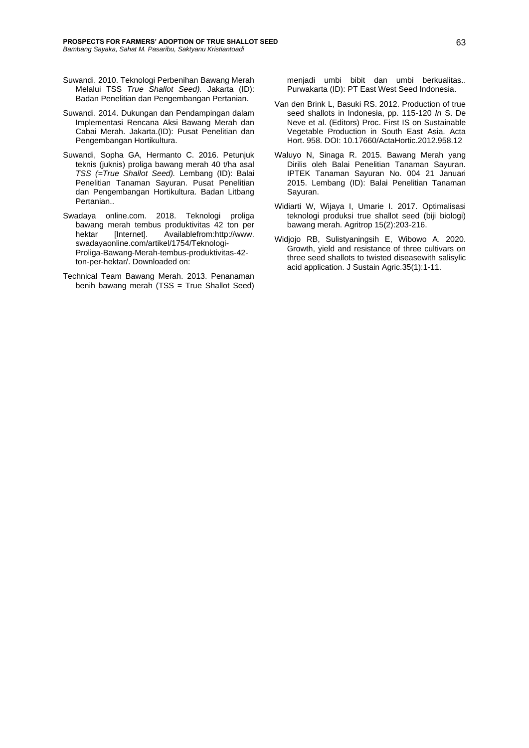- Suwandi. 2010. Teknologi Perbenihan Bawang Merah Melalui TSS *True Shallot Seed).* Jakarta (ID): Badan Penelitian dan Pengembangan Pertanian.
- Suwandi. 2014. Dukungan dan Pendampingan dalam Implementasi Rencana Aksi Bawang Merah dan Cabai Merah. Jakarta.(ID): Pusat Penelitian dan Pengembangan Hortikultura.
- Suwandi, Sopha GA, Hermanto C. 2016. Petunjuk teknis (juknis) proliga bawang merah 40 t/ha asal *TSS (=True Shallot Seed).* Lembang (ID): Balai Penelitian Tanaman Sayuran. Pusat Penelitian dan Pengembangan Hortikultura. Badan Litbang Pertanian..
- Swadaya online.com. 2018. Teknologi proliga bawang merah tembus produktivitas 42 ton per hektar [Internet]. Availablefrom:http://www. swadayaonline.com/artikel/1754/Teknologi-Proliga-Bawang-Merah-tembus-produktivitas-42 ton-per-hektar/. Downloaded on:
- Technical Team Bawang Merah. 2013. Penanaman benih bawang merah (TSS = True Shallot Seed)

menjadi umbi bibit dan umbi berkualitas.. Purwakarta (ID): PT East West Seed Indonesia.

- Van den Brink L, Basuki RS. 2012. Production of true seed shallots in Indonesia, pp. 115-120 *In* S. De Neve et al. (Editors) Proc. First IS on Sustainable Vegetable Production in South East Asia. Acta Hort. 958. DOI: [10.17660/ActaHortic.2012.958.12](https://www.researchgate.net/deref/http%3A%2F%2Fdx.doi.org%2F10.17660%2FActaHortic.2012.958.12)
- Waluyo N, Sinaga R. 2015. Bawang Merah yang Dirilis oleh Balai Penelitian Tanaman Sayuran. IPTEK Tanaman Sayuran No. 004 21 Januari 2015. Lembang (ID): Balai Penelitian Tanaman Sayuran.
- Widiarti W, Wijaya I, Umarie I. 2017. Optimalisasi teknologi produksi true shallot seed (biji biologi) bawang merah. Agritrop 15(2):203-216.
- Widjojo RB, Sulistyaningsih E, Wibowo A. 2020. Growth, yield and resistance of three cultivars on three seed shallots to twisted diseasewith salisylic acid application. J Sustain Agric.35(1):1-11.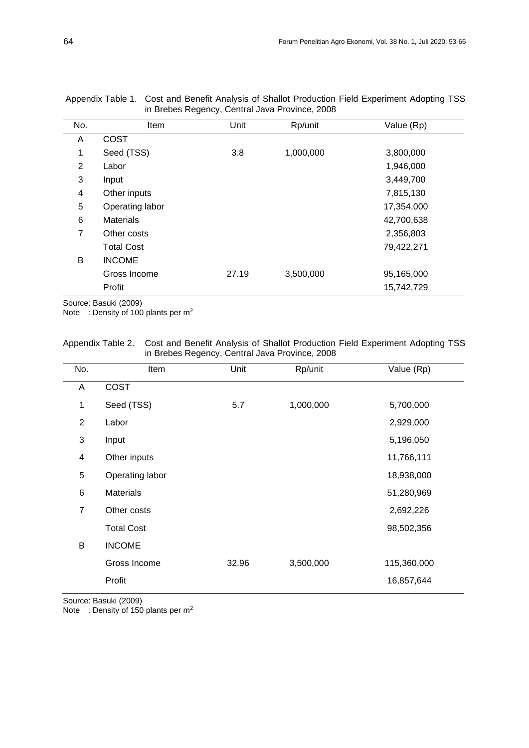| No.            | Item              | Unit  | Rp/unit   | Value (Rp) |
|----------------|-------------------|-------|-----------|------------|
| A              | <b>COST</b>       |       |           |            |
| 1              | Seed (TSS)        | 3.8   | 1,000,000 | 3,800,000  |
| $\overline{2}$ | Labor             |       |           | 1,946,000  |
| 3              | Input             |       |           | 3,449,700  |
| 4              | Other inputs      |       |           | 7,815,130  |
| 5              | Operating labor   |       |           | 17,354,000 |
| 6              | <b>Materials</b>  |       |           | 42,700,638 |
| 7              | Other costs       |       |           | 2,356,803  |
|                | <b>Total Cost</b> |       |           | 79,422,271 |
| B              | <b>INCOME</b>     |       |           |            |
|                | Gross Income      | 27.19 | 3,500,000 | 95,165,000 |
|                | Profit            |       |           | 15,742,729 |
|                |                   |       |           |            |

Appendix Table 1. Cost and Benefit Analysis of Shallot Production Field Experiment Adopting TSS in Brebes Regency, Central Java Province, 2008

Source: Basuki (2009)

Note : Density of 100 plants per m<sup>2</sup>

# Appendix Table 2. Cost and Benefit Analysis of Shallot Production Field Experiment Adopting TSS in Brebes Regency, Central Java Province, 2008

| No.            | Item              | Unit  | Rp/unit   | Value (Rp)  |
|----------------|-------------------|-------|-----------|-------------|
| Α              | <b>COST</b>       |       |           |             |
| 1              | Seed (TSS)        | 5.7   | 1,000,000 | 5,700,000   |
| $\overline{2}$ | Labor             |       |           | 2,929,000   |
| 3              | Input             |       |           | 5,196,050   |
| 4              | Other inputs      |       |           | 11,766,111  |
| 5              | Operating labor   |       |           | 18,938,000  |
| 6              | <b>Materials</b>  |       |           | 51,280,969  |
| $\overline{7}$ | Other costs       |       |           | 2,692,226   |
|                | <b>Total Cost</b> |       |           | 98,502,356  |
| B              | <b>INCOME</b>     |       |           |             |
|                | Gross Income      | 32.96 | 3,500,000 | 115,360,000 |
|                | Profit            |       |           | 16,857,644  |

Source: Basuki (2009)

Note : Density of 150 plants per m<sup>2</sup>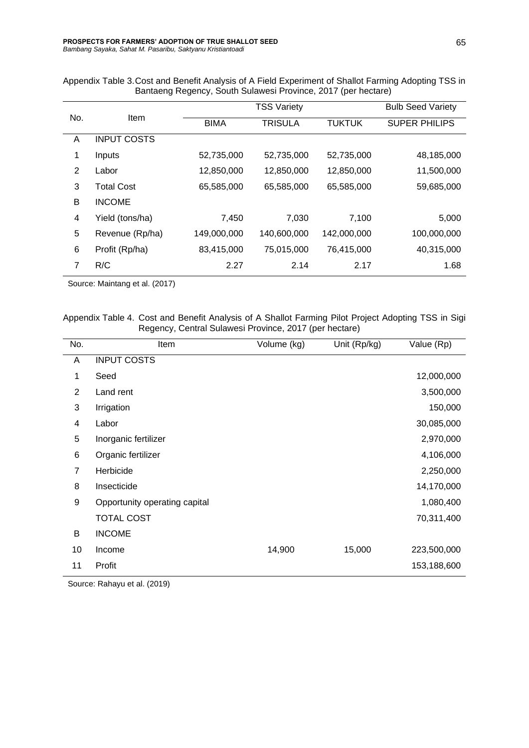Appendix Table 3.Cost and Benefit Analysis of A Field Experiment of Shallot Farming Adopting TSS in Bantaeng Regency, South Sulawesi Province, 2017 (per hectare)

|                | Item               | <b>TSS Variety</b> |                |               | <b>Bulb Seed Variety</b> |
|----------------|--------------------|--------------------|----------------|---------------|--------------------------|
| No.            |                    | <b>BIMA</b>        | <b>TRISULA</b> | <b>TUKTUK</b> | <b>SUPER PHILIPS</b>     |
| A              | <b>INPUT COSTS</b> |                    |                |               |                          |
| 1              | Inputs             | 52,735,000         | 52,735,000     | 52,735,000    | 48,185,000               |
| 2              | Labor              | 12,850,000         | 12,850,000     | 12,850,000    | 11,500,000               |
| 3              | <b>Total Cost</b>  | 65,585,000         | 65,585,000     | 65,585,000    | 59,685,000               |
| В              | <b>INCOME</b>      |                    |                |               |                          |
| 4              | Yield (tons/ha)    | 7,450              | 7,030          | 7,100         | 5,000                    |
| 5              | Revenue (Rp/ha)    | 149,000,000        | 140,600,000    | 142,000,000   | 100,000,000              |
| 6              | Profit (Rp/ha)     | 83,415,000         | 75,015,000     | 76,415,000    | 40,315,000               |
| $\overline{7}$ | R/C                | 2.27               | 2.14           | 2.17          | 1.68                     |

Source: Maintang et al. (2017)

Appendix Table 4. Cost and Benefit Analysis of A Shallot Farming Pilot Project Adopting TSS in Sigi Regency, Central Sulawesi Province, 2017 (per hectare)

| No.            | Item                          | Volume (kg) | Unit (Rp/kg) | Value (Rp)  |
|----------------|-------------------------------|-------------|--------------|-------------|
| A              | <b>INPUT COSTS</b>            |             |              |             |
| 1              | Seed                          |             |              | 12,000,000  |
| $\overline{2}$ | Land rent                     |             |              | 3,500,000   |
| 3              | Irrigation                    |             |              | 150,000     |
| 4              | Labor                         |             |              | 30,085,000  |
| 5              | Inorganic fertilizer          |             |              | 2,970,000   |
| 6              | Organic fertilizer            |             |              | 4,106,000   |
| $\overline{7}$ | Herbicide                     |             |              | 2,250,000   |
| 8              | Insecticide                   |             |              | 14,170,000  |
| 9              | Opportunity operating capital |             |              | 1,080,400   |
|                | <b>TOTAL COST</b>             |             |              | 70,311,400  |
| B              | <b>INCOME</b>                 |             |              |             |
| 10             | Income                        | 14,900      | 15,000       | 223,500,000 |
| 11             | Profit                        |             |              | 153,188,600 |

Source: Rahayu et al. (2019)